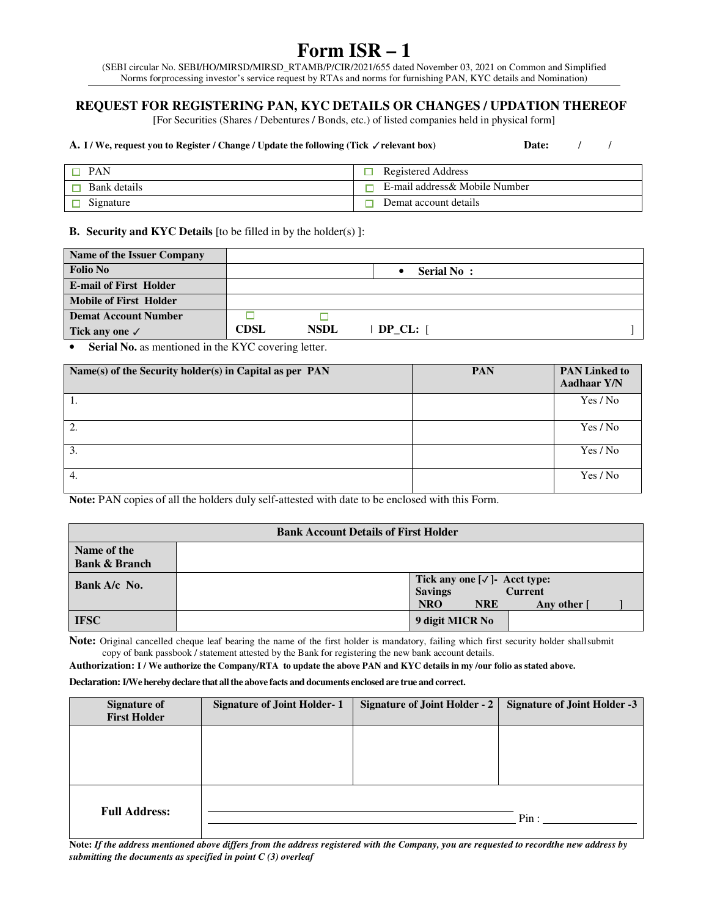## **Form ISR – 1**

(SEBI circular No. SEBI/HO/MIRSD/MIRSD\_RTAMB/P/CIR/2021/655 dated November 03, 2021 on Common and Simplified Norms for processing investor's service request by RTAs and norms for furnishing PAN, KYC details and Nomination)

## **REQUEST FOR REGISTERING PAN, KYC DETAILS OR CHANGES / UPDATION THEREOF**

[For Securities (Shares / Debentures / Bonds, etc.) of listed companies held in physical form]

| A. I / We, request you to Register / Change / Update the following (Tick $\checkmark$ relevant box) | Date:                          |
|-----------------------------------------------------------------------------------------------------|--------------------------------|
| $\Box$ PAN                                                                                          | Registered Address             |
| Bank details                                                                                        | E-mail address & Mobile Number |
| Signature                                                                                           | Demat account details          |

**B. Security and KYC Details** [to be filled in by the holder(s) ]:

| Name of the Issuer Company    |             |             |               |  |
|-------------------------------|-------------|-------------|---------------|--|
| <b>Folio No</b>               |             |             | Serial No:    |  |
| <b>E-mail of First Holder</b> |             |             |               |  |
| Mobile of First Holder        |             |             |               |  |
| <b>Demat Account Number</b>   |             |             |               |  |
| Tick any one $\checkmark$     | <b>CDSL</b> | <b>NSDL</b> | $DP CL: \Box$ |  |

**Serial No.** as mentioned in the KYC covering letter.

| Name(s) of the Security holder(s) in Capital as per PAN | <b>PAN</b> | <b>PAN Linked to</b><br>Aadhaar Y/N |
|---------------------------------------------------------|------------|-------------------------------------|
| -1.                                                     |            | Yes / No                            |
| 2.                                                      |            | Yes / No                            |
| 3.                                                      |            | Yes / No                            |
| 4.                                                      |            | Yes / No                            |

**Note:** PAN copies of all the holders duly self-attested with date to be enclosed with this Form.

| <b>Bank Account Details of First Holder</b> |                                                                                                                    |  |  |
|---------------------------------------------|--------------------------------------------------------------------------------------------------------------------|--|--|
| Name of the<br><b>Bank &amp; Branch</b>     |                                                                                                                    |  |  |
| Bank A/c No.                                | Tick any one $[\sqrt{}]$ - Acct type:<br><b>Savings</b><br><b>Current</b><br><b>NRO</b><br><b>NRE</b><br>Any other |  |  |
| <b>IFSC</b>                                 | 9 digit MICR No                                                                                                    |  |  |

**Note:** Original cancelled cheque leaf bearing the name of the first holder is mandatory, failing which first security holder shall submit copy of bank passbook / statement attested by the Bank for registering the new bank account details.

**Authorization: I / We authorize the Company/RTA to update the above PAN and KYC details in my /our folio as stated above.** 

**Declaration: I/We hereby declare that all the above facts and documents enclosed are true and correct.** 

| <b>Signature of</b>  | <b>Signature of Joint Holder-1</b> | Signature of Joint Holder - 2 | <b>Signature of Joint Holder -3</b> |
|----------------------|------------------------------------|-------------------------------|-------------------------------------|
| <b>First Holder</b>  |                                    |                               |                                     |
|                      |                                    |                               |                                     |
|                      |                                    |                               |                                     |
|                      |                                    |                               |                                     |
|                      |                                    |                               |                                     |
|                      |                                    |                               |                                     |
| <b>Full Address:</b> |                                    |                               |                                     |
|                      |                                    |                               | Pin:                                |
|                      |                                    |                               |                                     |

Note: If the address mentioned above differs from the address registered with the Company, you are requested to recordthe new address by *submitting the documents as specified in point C (3) overleaf*